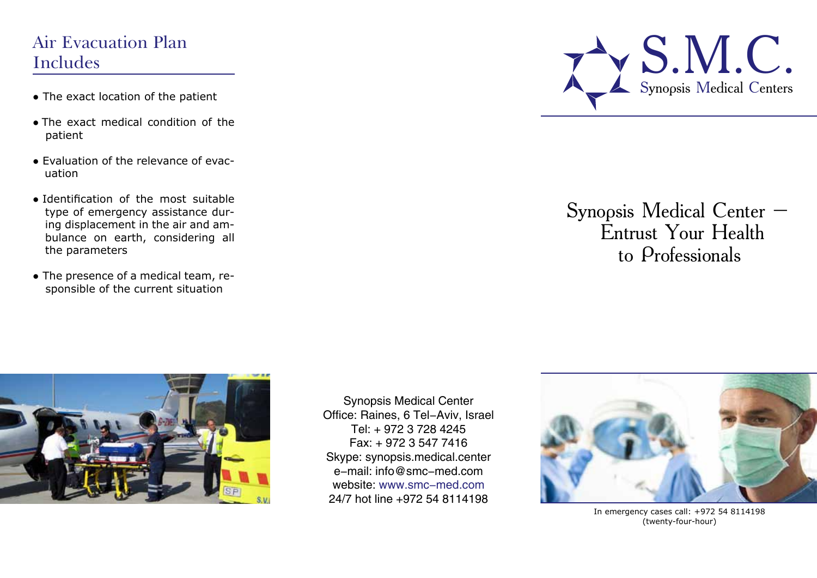## Air Evacuation Plan Includes

- The exact location of the patient
- Тhe exact medical condition of the patient
- Evaluation of the relevance of evacuation
- Identification of the most suitable type of emergency assistance during displacement in the air and ambulance on earth, considering all the parameters
- The presence of a medical team, responsible of the current situation



# Synopsis Medical Center – Entrust Your Health to Professionals



Synopsis Medical Center Office: Raines, 6 Tel-Aviv, Israel Tel: + 972 3 728 4245 Fax: + 972 3 547 7416 Skype: synopsis.medical.center e-mail: info@smc-med.com website: www.smc-med.com 24/7 hot line +972 54 8114198



In emergency cases call: +972 54 8114198 (twenty-four-hour)